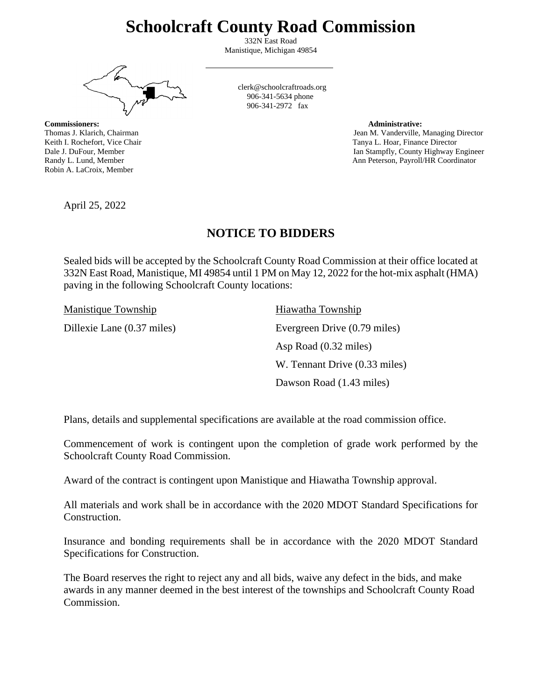# **Schoolcraft County Road Commission**

332N East Road Manistique, Michigan 49854

**The State State State** 

**Commissioners: Administrative:** Robin A. LaCroix, Member

clerk@schoolcraftroads.org 906-341-5634 phone  $906 - 341 - 2972$  fax

Thomas J. Klarich, Chairman Jean M. Vanderville, Managing Director Jean M. Vanderville, Managing Director Keith I. Rochefort, Vice Chair Tanya L. Hoar, Finance Director Tanya L. Hoar, Finance Director Dale J. DuFour, Member Ian Stampfly, County Highway Engineer Randy L. Lund, Member Ann Peterson, Payroll/HR Coordinator

April 25, 2022

## **NOTICE TO BIDDERS**

Sealed bids will be accepted by the Schoolcraft County Road Commission at their office located at 332N East Road, Manistique, MI 49854 until 1 PM on May 12, 2022 for the hot-mix asphalt (HMA) paving in the following Schoolcraft County locations:

Manistique Township Hiawatha Township

Dillexie Lane (0.37 miles) Evergreen Drive (0.79 miles) Asp Road (0.32 miles) W. Tennant Drive (0.33 miles) Dawson Road (1.43 miles)

Plans, details and supplemental specifications are available at the road commission office.

Commencement of work is contingent upon the completion of grade work performed by the Schoolcraft County Road Commission.

Award of the contract is contingent upon Manistique and Hiawatha Township approval.

All materials and work shall be in accordance with the 2020 MDOT Standard Specifications for Construction.

Insurance and bonding requirements shall be in accordance with the 2020 MDOT Standard Specifications for Construction.

The Board reserves the right to reject any and all bids, waive any defect in the bids, and make awards in any manner deemed in the best interest of the townships and Schoolcraft County Road Commission.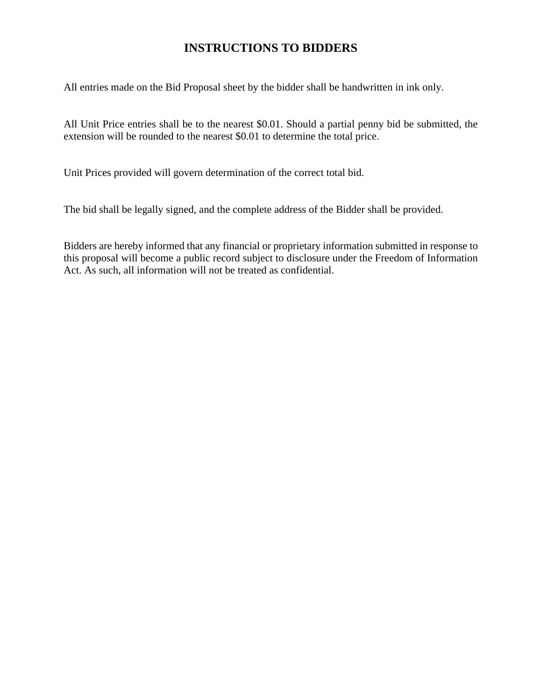## **INSTRUCTIONS TO BIDDERS**

All entries made on the Bid Proposal sheet by the bidder shall be handwritten in ink only.

All Unit Price entries shall be to the nearest \$0.01. Should a partial penny bid be submitted, the extension will be rounded to the nearest \$0.01 to determine the total price.

Unit Prices provided will govern determination of the correct total bid.

The bid shall be legally signed, and the complete address of the Bidder shall be provided.

Bidders are hereby informed that any financial or proprietary information submitted in response to this proposal will become a public record subject to disclosure under the Freedom of Information Act. As such, all information will not be treated as confidential.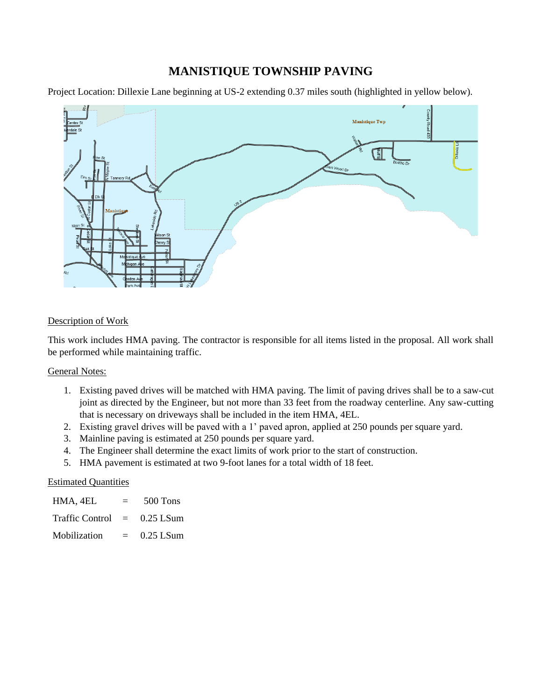## **MANISTIQUE TOWNSHIP PAVING**

Project Location: Dillexie Lane beginning at US-2 extending 0.37 miles south (highlighted in yellow below).



### Description of Work

This work includes HMA paving. The contractor is responsible for all items listed in the proposal. All work shall be performed while maintaining traffic.

#### General Notes:

- 1. Existing paved drives will be matched with HMA paving. The limit of paving drives shall be to a saw-cut joint as directed by the Engineer, but not more than 33 feet from the roadway centerline. Any saw-cutting that is necessary on driveways shall be included in the item HMA, 4EL.
- 2. Existing gravel drives will be paved with a 1' paved apron, applied at 250 pounds per square yard.
- 3. Mainline paving is estimated at 250 pounds per square yard.
- 4. The Engineer shall determine the exact limits of work prior to the start of construction.
- 5. HMA pavement is estimated at two 9-foot lanes for a total width of 18 feet.

#### Estimated Quantities

| HMA, 4EL            | $=$ | 500 Tons    |
|---------------------|-----|-------------|
| Traffic Control $=$ |     | $0.25$ LSum |
| Mobilization        | $=$ | $0.25$ LSum |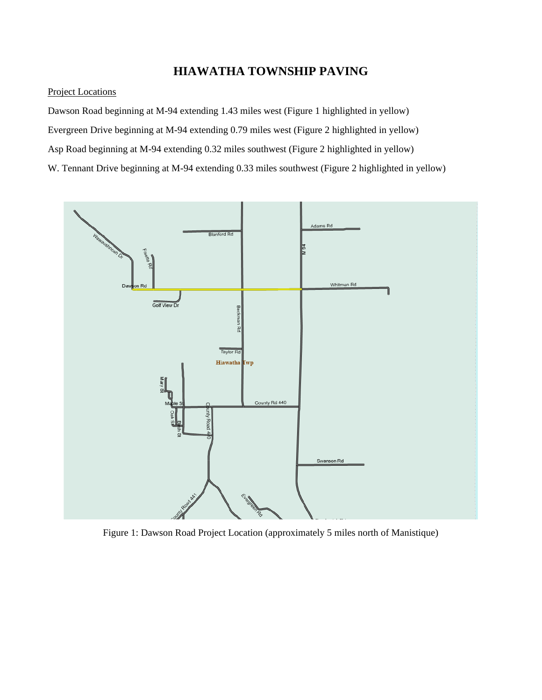## **HIAWATHA TOWNSHIP PAVING**

#### Project Locations

Dawson Road beginning at M-94 extending 1.43 miles west (Figure 1 highlighted in yellow) Evergreen Drive beginning at M-94 extending 0.79 miles west (Figure 2 highlighted in yellow) Asp Road beginning at M-94 extending 0.32 miles southwest (Figure 2 highlighted in yellow) W. Tennant Drive beginning at M-94 extending 0.33 miles southwest (Figure 2 highlighted in yellow)



Figure 1: Dawson Road Project Location (approximately 5 miles north of Manistique)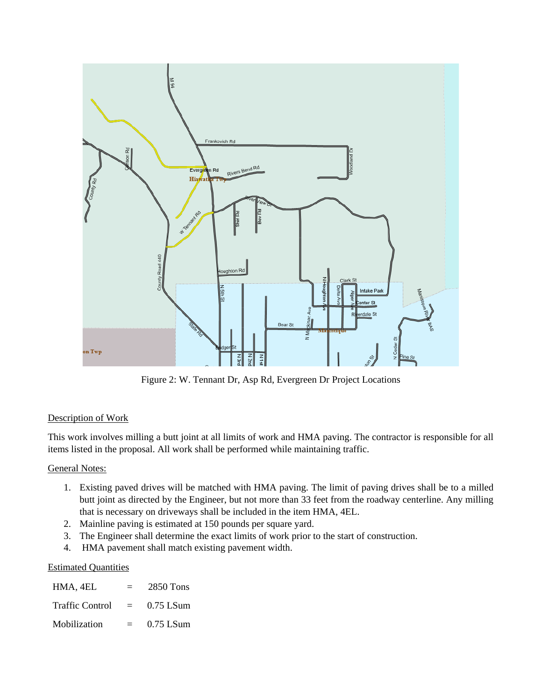

Figure 2: W. Tennant Dr, Asp Rd, Evergreen Dr Project Locations

## Description of Work

This work involves milling a butt joint at all limits of work and HMA paving. The contractor is responsible for all items listed in the proposal. All work shall be performed while maintaining traffic.

### General Notes:

- 1. Existing paved drives will be matched with HMA paving. The limit of paving drives shall be to a milled butt joint as directed by the Engineer, but not more than 33 feet from the roadway centerline. Any milling that is necessary on driveways shall be included in the item HMA, 4EL.
- 2. Mainline paving is estimated at 150 pounds per square yard.
- 3. The Engineer shall determine the exact limits of work prior to the start of construction.
- 4. HMA pavement shall match existing pavement width.

#### Estimated Quantities

| HMA, 4EL               | $=$      | 2850 Tons   |
|------------------------|----------|-------------|
| <b>Traffic Control</b> | $\equiv$ | $0.75$ LSum |
| Mobilization           | $=$      | $0.75$ LSum |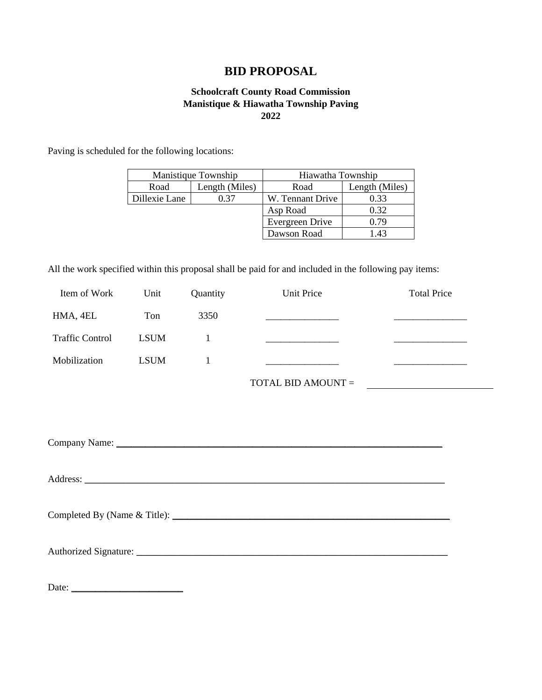## **BID PROPOSAL**

### **Schoolcraft County Road Commission Manistique & Hiawatha Township Paving 2022**

Paving is scheduled for the following locations:

|               | Manistique Township | Hiawatha Township |                |
|---------------|---------------------|-------------------|----------------|
| Road          | Length (Miles)      | Road              | Length (Miles) |
| Dillexie Lane | 0.37                | W. Tennant Drive  | ).33           |
|               |                     | Asp Road          | 0.32           |
|               |                     | Evergreen Drive   | 0.79           |
|               |                     | Dawson Road       | 43             |

All the work specified within this proposal shall be paid for and included in the following pay items:

| Item of Work           | Unit        | Quantity     | Unit Price                              | <b>Total Price</b>                                 |
|------------------------|-------------|--------------|-----------------------------------------|----------------------------------------------------|
| HMA, 4EL               | Ton         | 3350         |                                         | <u> 1989 - John Harrison, markin amerikan bizi</u> |
| <b>Traffic Control</b> | <b>LSUM</b> | $\mathbf{1}$ | ______________________________          |                                                    |
| Mobilization           | <b>LSUM</b> | 1            | <u> 1989 - Johann Barbara, martin a</u> |                                                    |
|                        |             |              | TOTAL BID AMOUNT =                      | <u> 1989 - Jan Samuel Barbara, martin d</u>        |
|                        |             |              |                                         |                                                    |
|                        |             |              |                                         |                                                    |
|                        |             |              |                                         |                                                    |
|                        |             |              |                                         |                                                    |
|                        |             |              |                                         |                                                    |
|                        |             |              |                                         |                                                    |

Authorized Signature: \_\_\_\_\_\_\_\_\_\_\_\_\_\_\_\_\_\_\_\_\_\_\_\_\_\_\_\_\_\_\_\_\_\_\_\_\_\_\_\_\_\_\_\_\_\_\_\_\_\_\_\_\_\_\_\_\_\_\_\_\_\_\_\_

Date: \_\_\_\_\_\_\_\_\_\_\_\_\_\_\_\_\_\_\_\_\_\_\_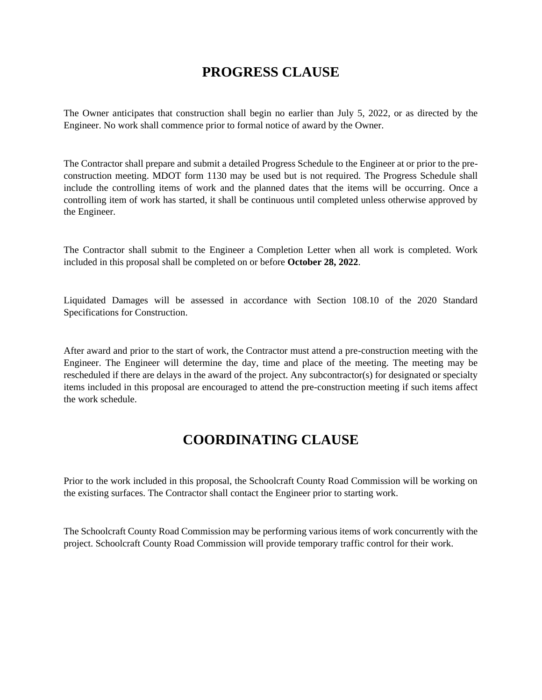## **PROGRESS CLAUSE**

The Owner anticipates that construction shall begin no earlier than July 5, 2022, or as directed by the Engineer. No work shall commence prior to formal notice of award by the Owner.

The Contractor shall prepare and submit a detailed Progress Schedule to the Engineer at or prior to the preconstruction meeting. MDOT form 1130 may be used but is not required. The Progress Schedule shall include the controlling items of work and the planned dates that the items will be occurring. Once a controlling item of work has started, it shall be continuous until completed unless otherwise approved by the Engineer.

The Contractor shall submit to the Engineer a Completion Letter when all work is completed. Work included in this proposal shall be completed on or before **October 28, 2022**.

Liquidated Damages will be assessed in accordance with Section 108.10 of the 2020 Standard Specifications for Construction.

After award and prior to the start of work, the Contractor must attend a pre-construction meeting with the Engineer. The Engineer will determine the day, time and place of the meeting. The meeting may be rescheduled if there are delays in the award of the project. Any subcontractor(s) for designated or specialty items included in this proposal are encouraged to attend the pre-construction meeting if such items affect the work schedule.

## **COORDINATING CLAUSE**

Prior to the work included in this proposal, the Schoolcraft County Road Commission will be working on the existing surfaces. The Contractor shall contact the Engineer prior to starting work.

The Schoolcraft County Road Commission may be performing various items of work concurrently with the project. Schoolcraft County Road Commission will provide temporary traffic control for their work.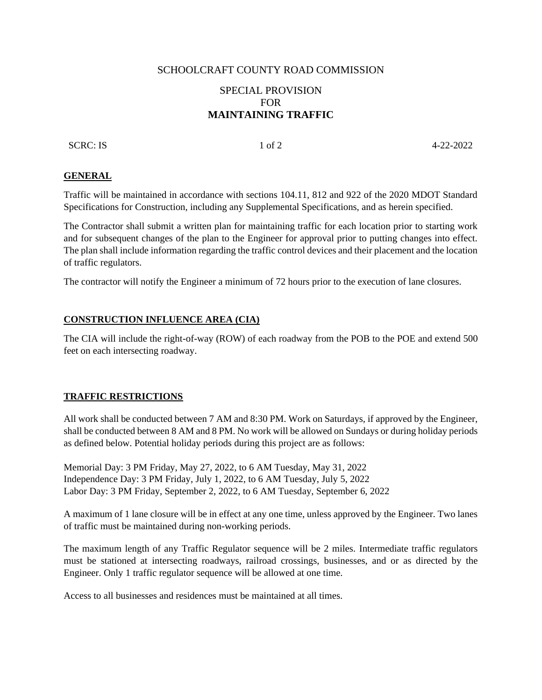#### SCHOOLCRAFT COUNTY ROAD COMMISSION

### SPECIAL PROVISION FOR **MAINTAINING TRAFFIC**

SCRC: IS 1 of 2 4-22-2022

#### **GENERAL**

Traffic will be maintained in accordance with sections 104.11, 812 and 922 of the 2020 MDOT Standard Specifications for Construction, including any Supplemental Specifications, and as herein specified.

The Contractor shall submit a written plan for maintaining traffic for each location prior to starting work and for subsequent changes of the plan to the Engineer for approval prior to putting changes into effect. The plan shall include information regarding the traffic control devices and their placement and the location of traffic regulators.

The contractor will notify the Engineer a minimum of 72 hours prior to the execution of lane closures.

#### **CONSTRUCTION INFLUENCE AREA (CIA)**

The CIA will include the right-of-way (ROW) of each roadway from the POB to the POE and extend 500 feet on each intersecting roadway.

#### **TRAFFIC RESTRICTIONS**

All work shall be conducted between 7 AM and 8:30 PM. Work on Saturdays, if approved by the Engineer, shall be conducted between 8 AM and 8 PM. No work will be allowed on Sundays or during holiday periods as defined below. Potential holiday periods during this project are as follows:

Memorial Day: 3 PM Friday, May 27, 2022, to 6 AM Tuesday, May 31, 2022 Independence Day: 3 PM Friday, July 1, 2022, to 6 AM Tuesday, July 5, 2022 Labor Day: 3 PM Friday, September 2, 2022, to 6 AM Tuesday, September 6, 2022

A maximum of 1 lane closure will be in effect at any one time, unless approved by the Engineer. Two lanes of traffic must be maintained during non-working periods.

The maximum length of any Traffic Regulator sequence will be 2 miles. Intermediate traffic regulators must be stationed at intersecting roadways, railroad crossings, businesses, and or as directed by the Engineer. Only 1 traffic regulator sequence will be allowed at one time.

Access to all businesses and residences must be maintained at all times.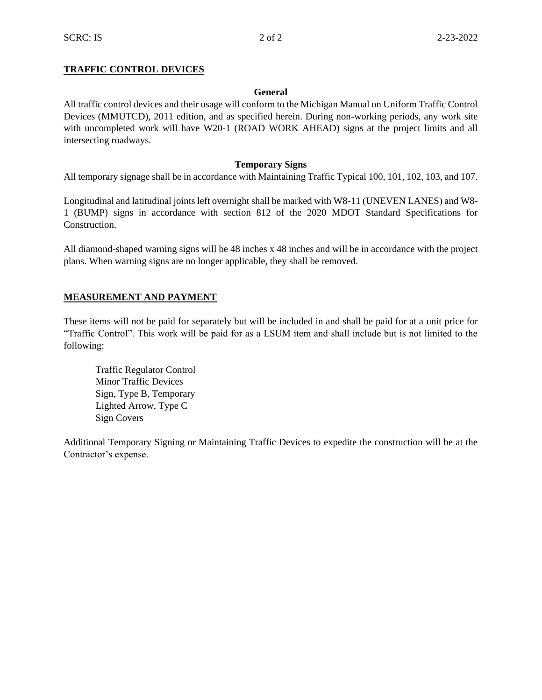#### **TRAFFIC CONTROL DEVICES**

#### **General**

All traffic control devices and their usage will conform to the Michigan Manual on Uniform Traffic Control Devices (MMUTCD), 2011 edition, and as specified herein. During non-working periods, any work site with uncompleted work will have W20-1 (ROAD WORK AHEAD) signs at the project limits and all intersecting roadways.

#### **Temporary Signs**

All temporary signage shall be in accordance with Maintaining Traffic Typical 100, 101, 102, 103, and 107.

Longitudinal and latitudinal joints left overnight shall be marked with W8-11 (UNEVEN LANES) and W8- 1 (BUMP) signs in accordance with section 812 of the 2020 MDOT Standard Specifications for Construction.

All diamond-shaped warning signs will be 48 inches x 48 inches and will be in accordance with the project plans. When warning signs are no longer applicable, they shall be removed.

#### **MEASUREMENT AND PAYMENT**

These items will not be paid for separately but will be included in and shall be paid for at a unit price for "Traffic Control". This work will be paid for as a LSUM item and shall include but is not limited to the following:

Traffic Regulator Control Minor Traffic Devices Sign, Type B, Temporary Lighted Arrow, Type C Sign Covers

Additional Temporary Signing or Maintaining Traffic Devices to expedite the construction will be at the Contractor's expense.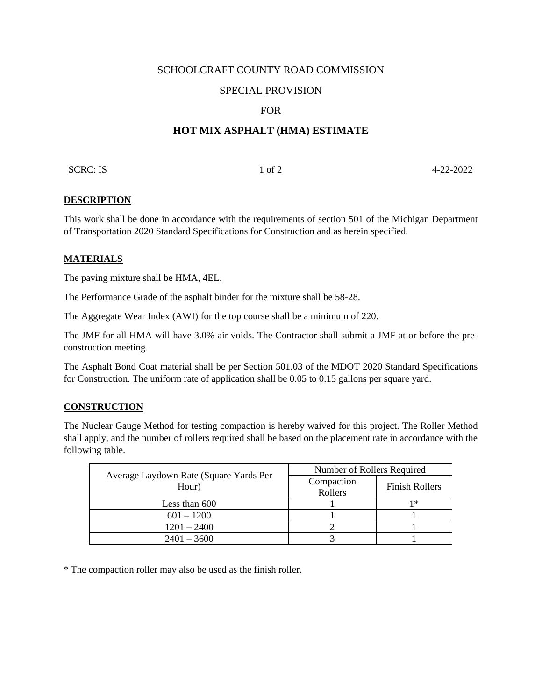#### SCHOOLCRAFT COUNTY ROAD COMMISSION

### SPECIAL PROVISION

#### FOR

## **HOT MIX ASPHALT (HMA) ESTIMATE**

SCRC: IS  $1 \text{ of } 2$   $4-22-2022$ 

#### **DESCRIPTION**

This work shall be done in accordance with the requirements of section 501 of the Michigan Department of Transportation 2020 Standard Specifications for Construction and as herein specified.

#### **MATERIALS**

The paving mixture shall be HMA, 4EL.

The Performance Grade of the asphalt binder for the mixture shall be 58-28.

The Aggregate Wear Index (AWI) for the top course shall be a minimum of 220.

The JMF for all HMA will have 3.0% air voids. The Contractor shall submit a JMF at or before the preconstruction meeting.

The Asphalt Bond Coat material shall be per Section 501.03 of the MDOT 2020 Standard Specifications for Construction. The uniform rate of application shall be 0.05 to 0.15 gallons per square yard.

#### **CONSTRUCTION**

The Nuclear Gauge Method for testing compaction is hereby waived for this project. The Roller Method shall apply, and the number of rollers required shall be based on the placement rate in accordance with the following table.

| Average Laydown Rate (Square Yards Per<br>Hour) | Number of Rollers Required |                       |  |
|-------------------------------------------------|----------------------------|-----------------------|--|
|                                                 | Compaction<br>Rollers      | <b>Finish Rollers</b> |  |
| Less than 600                                   |                            | $1*$                  |  |
| $601 - 1200$                                    |                            |                       |  |
| $1201 - 2400$                                   |                            |                       |  |
| $2401 - 3600$                                   |                            |                       |  |

\* The compaction roller may also be used as the finish roller.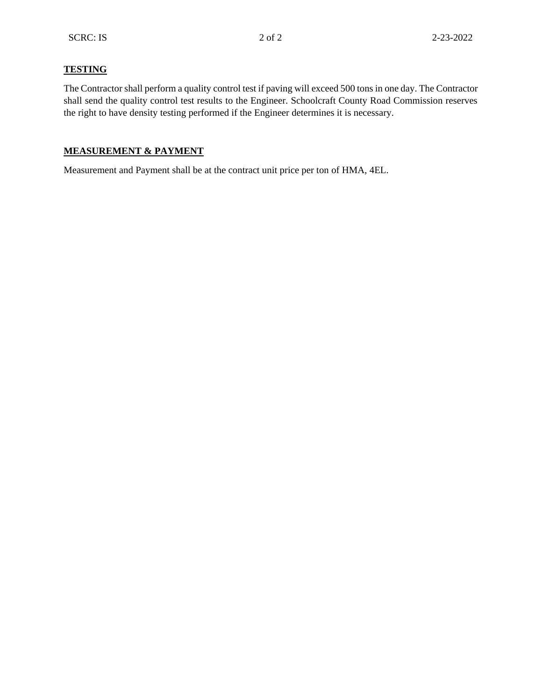## **TESTING**

The Contractor shall perform a quality control test if paving will exceed 500 tons in one day. The Contractor shall send the quality control test results to the Engineer. Schoolcraft County Road Commission reserves the right to have density testing performed if the Engineer determines it is necessary.

### **MEASUREMENT & PAYMENT**

Measurement and Payment shall be at the contract unit price per ton of HMA, 4EL.